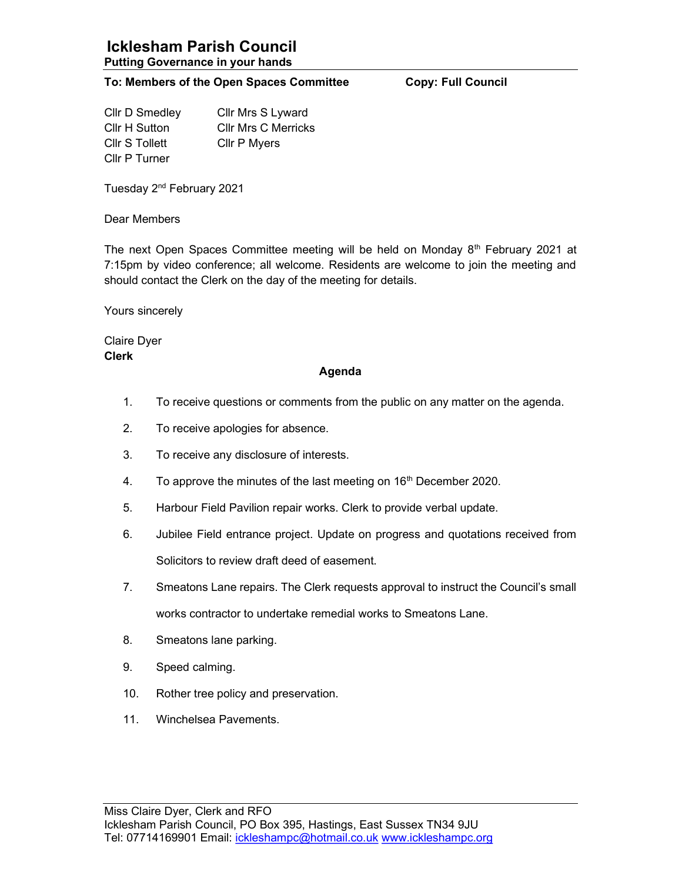## To: Members of the Open Spaces Committee Copy: Full Council

Cllr D Smedley Cllr Mrs S Lyward Cllr H Sutton Cllr Mrs C Merricks Cllr S Tollett Cllr P Myers Cllr P Turner

Tuesday 2<sup>nd</sup> February 2021

Dear Members

The next Open Spaces Committee meeting will be held on Monday  $8<sup>th</sup>$  February 2021 at 7:15pm by video conference; all welcome. Residents are welcome to join the meeting and should contact the Clerk on the day of the meeting for details.

Yours sincerely

Claire Dyer Clerk

## Agenda

- 1. To receive questions or comments from the public on any matter on the agenda.
- 2. To receive apologies for absence.
- 3. To receive any disclosure of interests.
- 4. To approve the minutes of the last meeting on  $16<sup>th</sup>$  December 2020.
- 5. Harbour Field Pavilion repair works. Clerk to provide verbal update.
- 6. Jubilee Field entrance project. Update on progress and quotations received from Solicitors to review draft deed of easement.
- 7. Smeatons Lane repairs. The Clerk requests approval to instruct the Council's small works contractor to undertake remedial works to Smeatons Lane.
- 8. Smeatons lane parking.
- 9. Speed calming.
- 10. Rother tree policy and preservation.
- 11. Winchelsea Pavements.